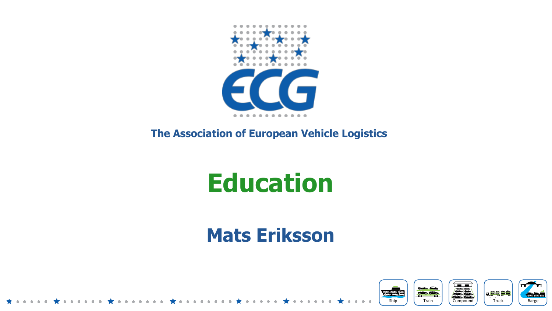

#### **The Association of European Vehicle Logistics**

# **Education**

#### **Mats Eriksson**

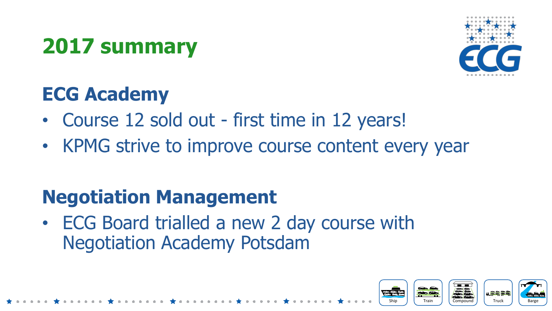### **2017 summary**



#### **ECG Academy**

- Course 12 sold out first time in 12 years!
- KPMG strive to improve course content every year

#### **Negotiation Management**

• ECG Board trialled a new 2 day course with Negotiation Academy Potsdam

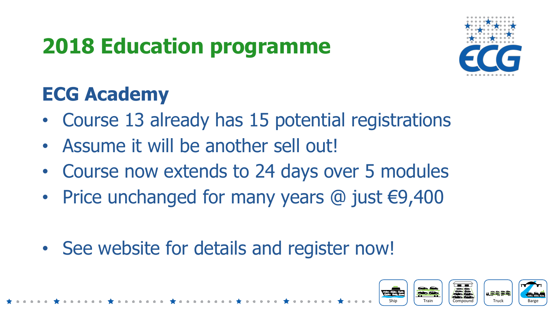## **2018 Education programme**



#### **ECG Academy**

- Course 13 already has 15 potential registrations
- Assume it will be another sell out!
- Course now extends to 24 days over 5 modules
- Price unchanged for many years @ just €9,400
- See website for details and register now!

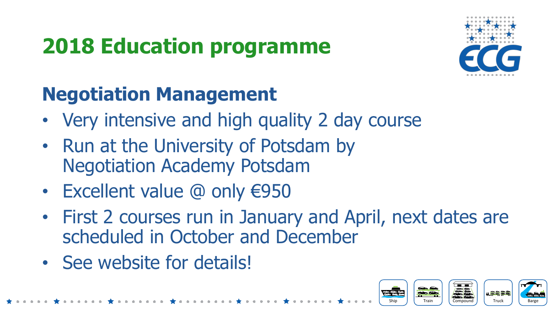# **2018 Education programme**



#### **Negotiation Management**

- Very intensive and high quality 2 day course
- Run at the University of Potsdam by Negotiation Academy Potsdam
- Excellent value @ only €950
- First 2 courses run in January and April, next dates are scheduled in October and December
- See website for details!

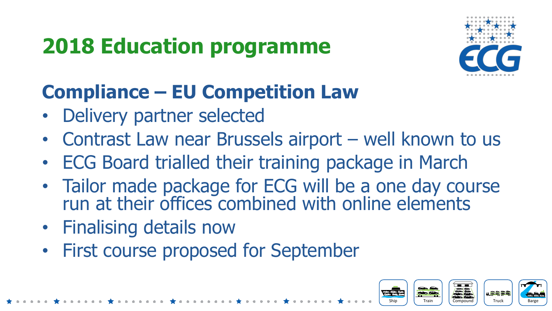# **2018 Education programme**



#### **Compliance – EU Competition Law**

- Delivery partner selected
- Contrast Law near Brussels airport well known to us
- ECG Board trialled their training package in March
- Tailor made package for ECG will be a one day course run at their offices combined with online elements
- Finalising details now
- First course proposed for September

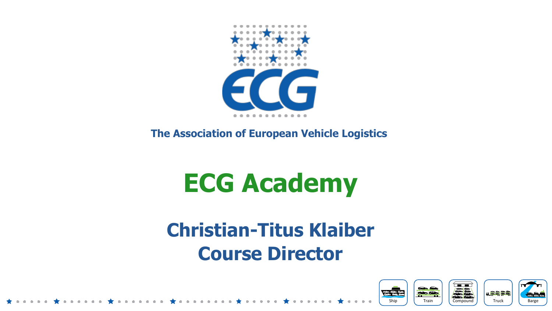

**The Association of European Vehicle Logistics** 

# **ECG Academy**

#### **Christian-Titus Klaiber Course Director**

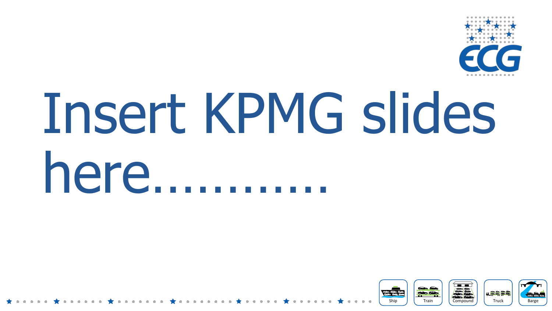

# Insert KPMG slides here…………